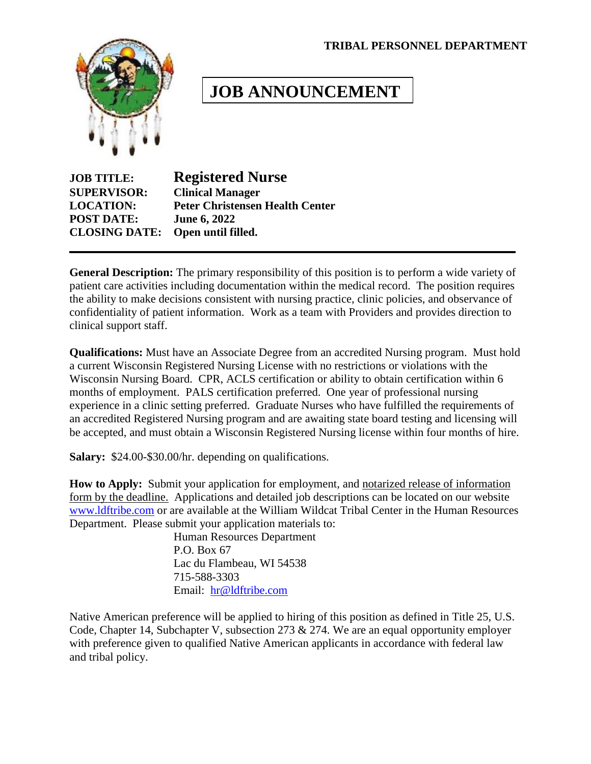#### **TRIBAL PERSONNEL DEPARTMENT**



# **JOB ANNOUNCEMENT**

| <b>JOB TITLE:</b>    | <b>Registered Nurse</b>                |  |
|----------------------|----------------------------------------|--|
| <b>SUPERVISOR:</b>   | <b>Clinical Manager</b>                |  |
| <b>LOCATION:</b>     | <b>Peter Christensen Health Center</b> |  |
| <b>POST DATE:</b>    | <b>June 6, 2022</b>                    |  |
| <b>CLOSING DATE:</b> | Open until filled.                     |  |

**General Description:** The primary responsibility of this position is to perform a wide variety of patient care activities including documentation within the medical record. The position requires the ability to make decisions consistent with nursing practice, clinic policies, and observance of confidentiality of patient information. Work as a team with Providers and provides direction to clinical support staff.

**Qualifications:** Must have an Associate Degree from an accredited Nursing program. Must hold a current Wisconsin Registered Nursing License with no restrictions or violations with the Wisconsin Nursing Board. CPR, ACLS certification or ability to obtain certification within 6 months of employment. PALS certification preferred. One year of professional nursing experience in a clinic setting preferred. Graduate Nurses who have fulfilled the requirements of an accredited Registered Nursing program and are awaiting state board testing and licensing will be accepted, and must obtain a Wisconsin Registered Nursing license within four months of hire.

**Salary:** \$24.00-\$30.00/hr. depending on qualifications.

**How to Apply:** Submit your application for employment, and notarized release of information form by the deadline. Applications and detailed job descriptions can be located on our website [www.ldftribe.com](http://www.ldftribe.com/) or are available at the William Wildcat Tribal Center in the Human Resources Department. Please submit your application materials to:

> Human Resources Department P.O. Box 67 Lac du Flambeau, WI 54538 715-588-3303 Email: [hr@ldftribe.com](mailto:hr@ldftribe.com)

Native American preference will be applied to hiring of this position as defined in Title 25, U.S. Code, Chapter 14, Subchapter V, subsection 273 & 274. We are an equal opportunity employer with preference given to qualified Native American applicants in accordance with federal law and tribal policy.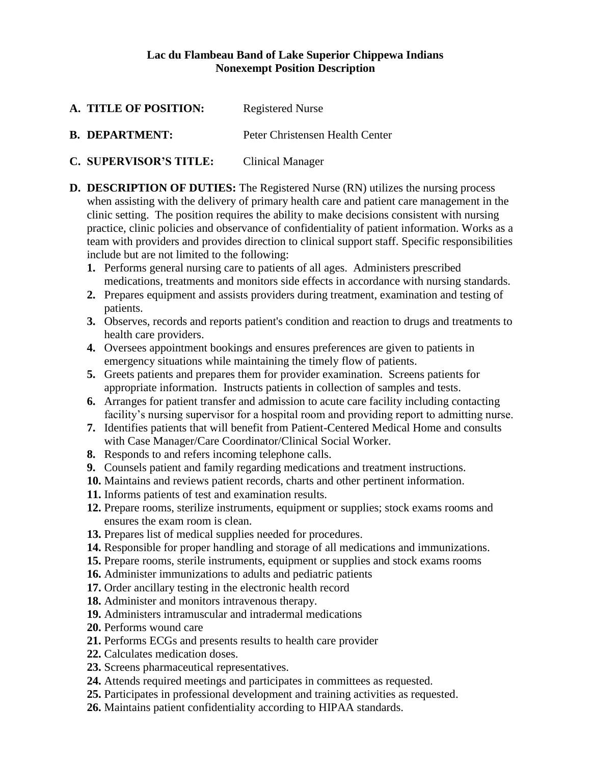#### **Lac du Flambeau Band of Lake Superior Chippewa Indians Nonexempt Position Description**

- A. **TITLE OF POSITION:** Registered Nurse
- **B. DEPARTMENT:** Peter Christensen Health Center
- **C. SUPERVISOR'S TITLE:** Clinical Manager
- **D. DESCRIPTION OF DUTIES:** The Registered Nurse (RN) utilizes the nursing process when assisting with the delivery of primary health care and patient care management in the clinic setting. The position requires the ability to make decisions consistent with nursing practice, clinic policies and observance of confidentiality of patient information. Works as a team with providers and provides direction to clinical support staff. Specific responsibilities include but are not limited to the following:
	- **1.** Performs general nursing care to patients of all ages. Administers prescribed medications, treatments and monitors side effects in accordance with nursing standards.
	- **2.** Prepares equipment and assists providers during treatment, examination and testing of patients.
	- **3.** Observes, records and reports patient's condition and reaction to drugs and treatments to health care providers.
	- **4.** Oversees appointment bookings and ensures preferences are given to patients in emergency situations while maintaining the timely flow of patients.
	- **5.** Greets patients and prepares them for provider examination. Screens patients for appropriate information. Instructs patients in collection of samples and tests.
	- **6.** Arranges for patient transfer and admission to acute care facility including contacting facility's nursing supervisor for a hospital room and providing report to admitting nurse.
	- **7.** Identifies patients that will benefit from Patient-Centered Medical Home and consults with Case Manager/Care Coordinator/Clinical Social Worker.
	- **8.** Responds to and refers incoming telephone calls.
	- **9.** Counsels patient and family regarding medications and treatment instructions.
	- **10.** Maintains and reviews patient records, charts and other pertinent information.
	- **11.** Informs patients of test and examination results.
	- **12.** Prepare rooms, sterilize instruments, equipment or supplies; stock exams rooms and ensures the exam room is clean.
	- **13.** Prepares list of medical supplies needed for procedures.
	- **14.** Responsible for proper handling and storage of all medications and immunizations.
	- **15.** Prepare rooms, sterile instruments, equipment or supplies and stock exams rooms
	- **16.** Administer immunizations to adults and pediatric patients
	- **17.** Order ancillary testing in the electronic health record
	- **18.** Administer and monitors intravenous therapy.
	- **19.** Administers intramuscular and intradermal medications
	- **20.** Performs wound care
	- **21.** Performs ECGs and presents results to health care provider
	- **22.** Calculates medication doses.
	- **23.** Screens pharmaceutical representatives.
	- **24.** Attends required meetings and participates in committees as requested.
	- **25.** Participates in professional development and training activities as requested.
	- **26.** Maintains patient confidentiality according to HIPAA standards.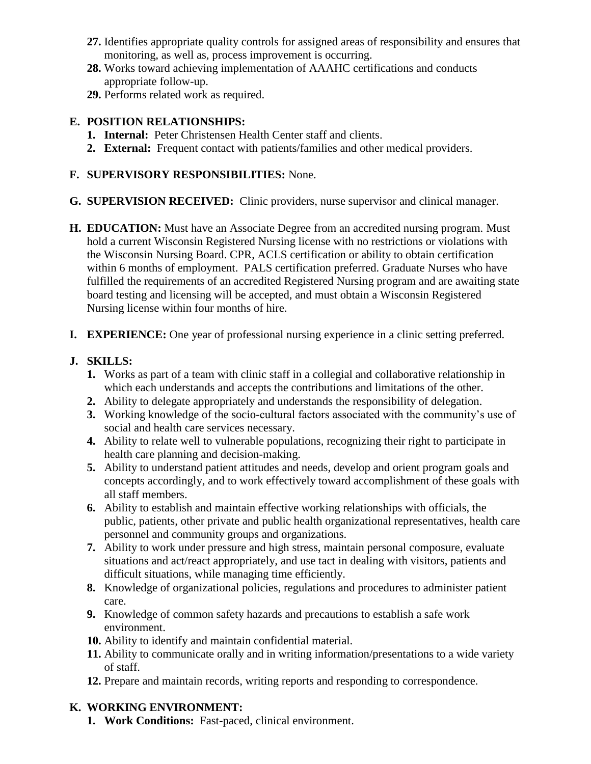- **27.** Identifies appropriate quality controls for assigned areas of responsibility and ensures that monitoring, as well as, process improvement is occurring.
- **28.** Works toward achieving implementation of AAAHC certifications and conducts appropriate follow-up.
- **29.** Performs related work as required.

### **E. POSITION RELATIONSHIPS:**

- **1. Internal:** Peter Christensen Health Center staff and clients.
- **2. External:** Frequent contact with patients/families and other medical providers.

### **F. SUPERVISORY RESPONSIBILITIES:** None.

- **G. SUPERVISION RECEIVED:** Clinic providers, nurse supervisor and clinical manager.
- **H. EDUCATION:** Must have an Associate Degree from an accredited nursing program. Must hold a current Wisconsin Registered Nursing license with no restrictions or violations with the Wisconsin Nursing Board. CPR, ACLS certification or ability to obtain certification within 6 months of employment. PALS certification preferred. Graduate Nurses who have fulfilled the requirements of an accredited Registered Nursing program and are awaiting state board testing and licensing will be accepted, and must obtain a Wisconsin Registered Nursing license within four months of hire.
- **I. EXPERIENCE:** One year of professional nursing experience in a clinic setting preferred.

# **J. SKILLS:**

- **1.** Works as part of a team with clinic staff in a collegial and collaborative relationship in which each understands and accepts the contributions and limitations of the other.
- **2.** Ability to delegate appropriately and understands the responsibility of delegation.
- **3.** Working knowledge of the socio-cultural factors associated with the community's use of social and health care services necessary.
- **4.** Ability to relate well to vulnerable populations, recognizing their right to participate in health care planning and decision-making.
- **5.** Ability to understand patient attitudes and needs, develop and orient program goals and concepts accordingly, and to work effectively toward accomplishment of these goals with all staff members.
- **6.** Ability to establish and maintain effective working relationships with officials, the public, patients, other private and public health organizational representatives, health care personnel and community groups and organizations.
- **7.** Ability to work under pressure and high stress, maintain personal composure, evaluate situations and act/react appropriately, and use tact in dealing with visitors, patients and difficult situations, while managing time efficiently.
- **8.** Knowledge of organizational policies, regulations and procedures to administer patient care.
- **9.** Knowledge of common safety hazards and precautions to establish a safe work environment.
- **10.** Ability to identify and maintain confidential material.
- **11.** Ability to communicate orally and in writing information/presentations to a wide variety of staff.
- **12.** Prepare and maintain records, writing reports and responding to correspondence.

# **K. WORKING ENVIRONMENT:**

**1. Work Conditions:** Fast-paced, clinical environment.